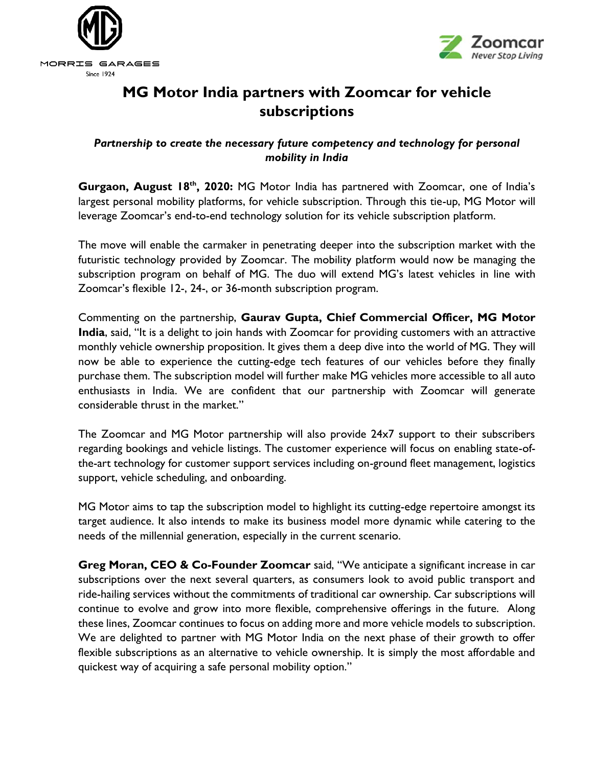



## **MG Motor India partners with Zoomcar for vehicle subscriptions**

## *Partnership to create the necessary future competency and technology for personal mobility in India*

**Gurgaon, August 18th, 2020:** MG Motor India has partnered with Zoomcar, one of India's largest personal mobility platforms, for vehicle subscription. Through this tie-up, MG Motor will leverage Zoomcar's end-to-end technology solution for its vehicle subscription platform.

The move will enable the carmaker in penetrating deeper into the subscription market with the futuristic technology provided by Zoomcar. The mobility platform would now be managing the subscription program on behalf of MG. The duo will extend MG's latest vehicles in line with Zoomcar's flexible 12-, 24-, or 36-month subscription program.

Commenting on the partnership, **Gaurav Gupta, Chief Commercial Officer, MG Motor India**, said, "It is a delight to join hands with Zoomcar for providing customers with an attractive monthly vehicle ownership proposition. It gives them a deep dive into the world of MG. They will now be able to experience the cutting-edge tech features of our vehicles before they finally purchase them. The subscription model will further make MG vehicles more accessible to all auto enthusiasts in India. We are confident that our partnership with Zoomcar will generate considerable thrust in the market."

The Zoomcar and MG Motor partnership will also provide 24x7 support to their subscribers regarding bookings and vehicle listings. The customer experience will focus on enabling state-ofthe-art technology for customer support services including on-ground fleet management, logistics support, vehicle scheduling, and onboarding.

MG Motor aims to tap the subscription model to highlight its cutting-edge repertoire amongst its target audience. It also intends to make its business model more dynamic while catering to the needs of the millennial generation, especially in the current scenario.

**Greg Moran, CEO & Co-Founder Zoomcar** said, "We anticipate a significant increase in car subscriptions over the next several quarters, as consumers look to avoid public transport and ride-hailing services without the commitments of traditional car ownership. Car subscriptions will continue to evolve and grow into more flexible, comprehensive offerings in the future. Along these lines, Zoomcar continues to focus on adding more and more vehicle models to subscription. We are delighted to partner with MG Motor India on the next phase of their growth to offer flexible subscriptions as an alternative to vehicle ownership. It is simply the most affordable and quickest way of acquiring a safe personal mobility option."